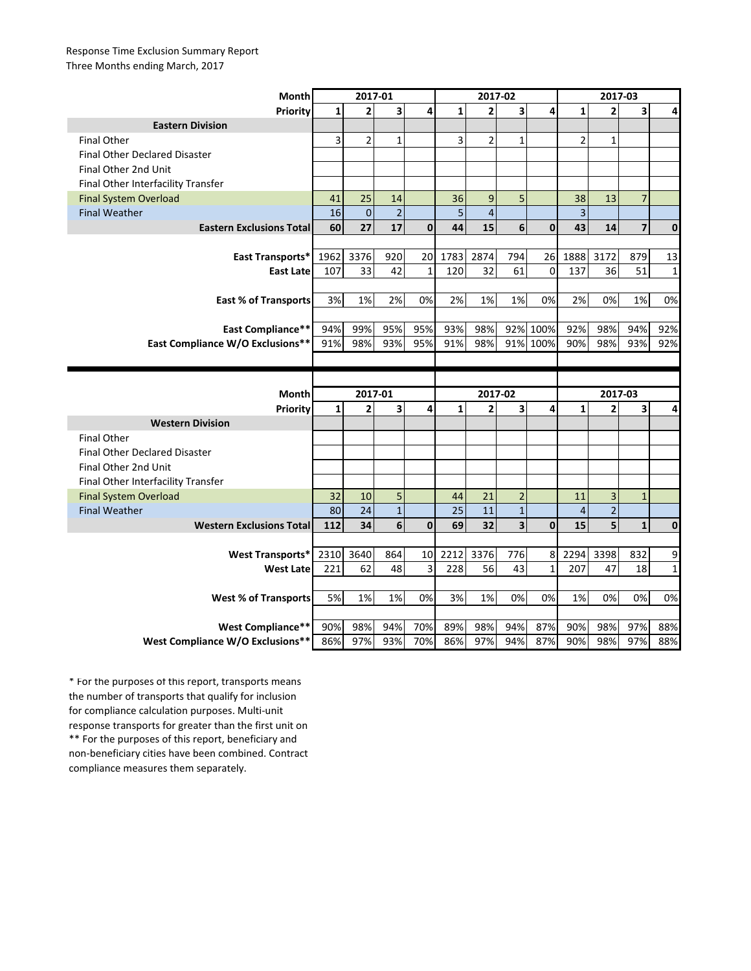## Response Time Exclusion Summary Report Three Months ending March, 2017

| <b>Month</b>                                          | 2017-01      |                |                  |              | 2017-02      |                |                |              | 2017-03        |                         |                         |             |
|-------------------------------------------------------|--------------|----------------|------------------|--------------|--------------|----------------|----------------|--------------|----------------|-------------------------|-------------------------|-------------|
| Priority                                              | 1            | 2              | 3                | 4            | $\mathbf{1}$ | $\overline{2}$ | 3              | 4            | $\mathbf{1}$   | $\overline{2}$          | 3                       | 4           |
| <b>Eastern Division</b>                               |              |                |                  |              |              |                |                |              |                |                         |                         |             |
| <b>Final Other</b>                                    | 3            | $\overline{2}$ | $\mathbf{1}$     |              | 3            | $\overline{2}$ | $\mathbf{1}$   |              | $\overline{2}$ | $\mathbf{1}$            |                         |             |
| Final Other Declared Disaster                         |              |                |                  |              |              |                |                |              |                |                         |                         |             |
| Final Other 2nd Unit                                  |              |                |                  |              |              |                |                |              |                |                         |                         |             |
| Final Other Interfacility Transfer                    |              |                |                  |              |              |                |                |              |                |                         |                         |             |
| <b>Final System Overload</b>                          | 41           | 25             | 14               |              | 36           | 9              | 5              |              | 38             | 13                      | $\overline{7}$          |             |
| <b>Final Weather</b>                                  | 16           | $\overline{0}$ | $\overline{2}$   |              | 5            | $\overline{4}$ |                |              | 3              |                         |                         |             |
| <b>Eastern Exclusions Total</b>                       | 60           | 27             | 17               | $\mathbf{0}$ | 44           | 15             | 6              | $\mathbf 0$  | 43             | 14                      | $\overline{\mathbf{z}}$ | $\bf{0}$    |
|                                                       |              |                |                  |              |              |                |                |              |                |                         |                         |             |
| East Transports*                                      | 1962         | 3376           | 920              | 20           | 1783         | 2874           | 794            | 26           | 1888           | 3172                    | 879                     | 13          |
| <b>East Late</b>                                      | 107          | 33             | 42               | $\mathbf{1}$ | 120          | 32             | 61             | $\mathbf 0$  | 137            | 36                      | 51                      | 1           |
|                                                       |              |                |                  |              |              |                |                |              |                |                         |                         |             |
| <b>East % of Transports</b>                           | 3%           | 1%             | 2%               | 0%           | 2%           | 1%             | 1%             | 0%           | 2%             | 0%                      | 1%                      | 0%          |
|                                                       |              |                |                  |              |              |                |                |              |                |                         |                         |             |
| <b>East Compliance**</b>                              | 94%          | 99%            | 95%              | 95%          | 93%          | 98%            |                | 92% 100%     | 92%            | 98%                     | 94%                     | 92%         |
| <b>East Compliance W/O Exclusions**</b>               | 91%          | 98%            | 93%              | 95%          | 91%          | 98%            |                | 91% 100%     | 90%            | 98%                     | 93%                     | 92%         |
|                                                       |              |                |                  |              |              |                |                |              |                |                         |                         |             |
|                                                       |              |                |                  |              |              |                |                |              |                |                         |                         |             |
|                                                       |              |                |                  |              |              |                |                |              |                |                         |                         |             |
| Month                                                 |              | 2017-01        |                  |              |              | 2017-02        |                |              |                | 2017-03                 |                         |             |
| <b>Priority</b>                                       | $\mathbf{1}$ | $\overline{2}$ | 3                | 4            | $\mathbf{1}$ | $\overline{2}$ | 3              | 4            | $\mathbf{1}$   | $\overline{2}$          | 3                       | 4           |
| <b>Western Division</b>                               |              |                |                  |              |              |                |                |              |                |                         |                         |             |
| <b>Final Other</b>                                    |              |                |                  |              |              |                |                |              |                |                         |                         |             |
| <b>Final Other Declared Disaster</b>                  |              |                |                  |              |              |                |                |              |                |                         |                         |             |
| Final Other 2nd Unit                                  |              |                |                  |              |              |                |                |              |                |                         |                         |             |
| Final Other Interfacility Transfer                    |              |                |                  |              |              |                |                |              |                |                         |                         |             |
| <b>Final System Overload</b>                          | 32           | 10             | 5                |              | 44           | 21             | $\overline{2}$ |              | 11             | $\overline{\mathbf{3}}$ | $\mathbf{1}$            |             |
| <b>Final Weather</b>                                  | 80           | 24             | $\mathbf{1}$     |              | 25           | 11             | $\mathbf 1$    |              | $\overline{4}$ | $\overline{c}$          |                         |             |
| <b>Western Exclusions Total</b>                       | 112          | 34             | $\boldsymbol{6}$ | $\mathbf 0$  | 69           | 32             | 3              | $\mathbf 0$  | 15             | 5                       | $\mathbf 1$             | $\bf{0}$    |
|                                                       |              |                |                  |              |              |                |                |              |                |                         |                         |             |
| <b>West Transports*</b>                               | 2310         | 3640           | 864              | 10           | 2212         | 3376           | 776            | 8            | 2294           | 3398                    | 832                     | 9           |
| <b>West Late</b>                                      | 221          | 62             | 48               | 3            | 228          | 56             | 43             | $\mathbf{1}$ | 207            | 47                      | 18                      | $\mathbf 1$ |
|                                                       |              |                |                  |              |              |                |                |              |                |                         |                         |             |
| <b>West % of Transports</b>                           | 5%           | 1%             | 1%               | 0%           | 3%           | 1%             | 0%             | 0%           | 1%             | 0%                      | 0%                      | 0%          |
|                                                       |              |                |                  |              |              |                |                |              |                |                         |                         |             |
| West Compliance**<br>West Compliance W/O Exclusions** | 90%<br>86%   | 98%<br>97%     | 94%<br>93%       | 70%<br>70%   | 89%<br>86%   | 98%<br>97%     | 94%<br>94%     | 87%<br>87%   | 90%<br>90%     | 98%<br>98%              | 97%<br>97%              | 88%<br>88%  |

\*\* For the purposes of this report, beneficiary and non-beneficiary cities have been combined. Contract compliance measures them separately. \* For the purposes of this report, transports means the number of transports that qualify for inclusion for compliance calculation purposes. Multi-unit response transports for greater than the first unit on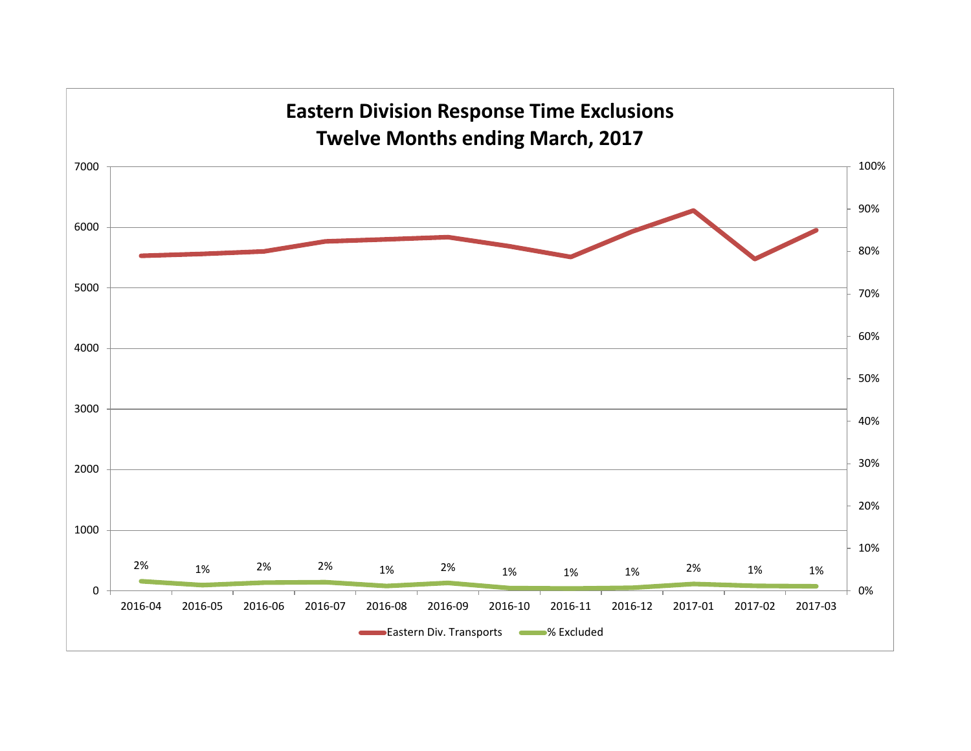